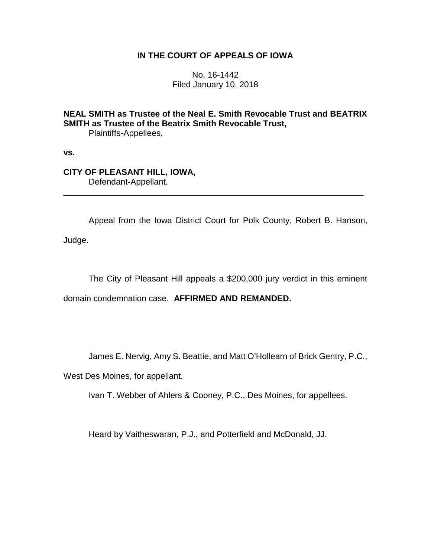## **IN THE COURT OF APPEALS OF IOWA**

No. 16-1442 Filed January 10, 2018

**NEAL SMITH as Trustee of the Neal E. Smith Revocable Trust and BEATRIX SMITH as Trustee of the Beatrix Smith Revocable Trust,** Plaintiffs-Appellees,

\_\_\_\_\_\_\_\_\_\_\_\_\_\_\_\_\_\_\_\_\_\_\_\_\_\_\_\_\_\_\_\_\_\_\_\_\_\_\_\_\_\_\_\_\_\_\_\_\_\_\_\_\_\_\_\_\_\_\_\_\_\_\_\_

**vs.**

## **CITY OF PLEASANT HILL, IOWA,** Defendant-Appellant.

Appeal from the Iowa District Court for Polk County, Robert B. Hanson, Judge.

The City of Pleasant Hill appeals a \$200,000 jury verdict in this eminent

domain condemnation case. **AFFIRMED AND REMANDED.**

James E. Nervig, Amy S. Beattie, and Matt O'Hollearn of Brick Gentry, P.C.,

West Des Moines, for appellant.

Ivan T. Webber of Ahlers & Cooney, P.C., Des Moines, for appellees.

Heard by Vaitheswaran, P.J., and Potterfield and McDonald, JJ.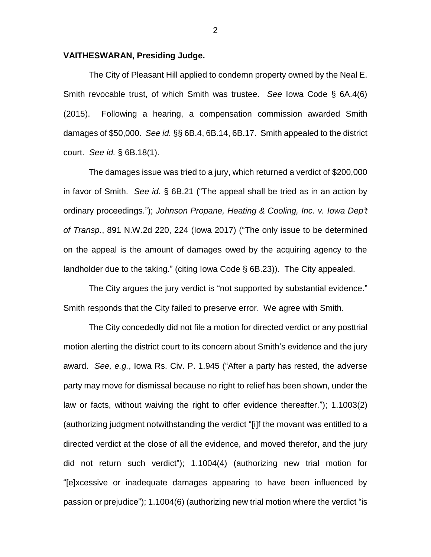## **VAITHESWARAN, Presiding Judge.**

The City of Pleasant Hill applied to condemn property owned by the Neal E. Smith revocable trust, of which Smith was trustee. *See* Iowa Code § 6A.4(6) (2015). Following a hearing, a compensation commission awarded Smith damages of \$50,000. *See id.* §§ 6B.4, 6B.14, 6B.17. Smith appealed to the district court. *See id.* § 6B.18(1).

The damages issue was tried to a jury, which returned a verdict of \$200,000 in favor of Smith. *See id.* § 6B.21 ("The appeal shall be tried as in an action by ordinary proceedings."); *Johnson Propane, Heating & Cooling, Inc. v. Iowa Dep't of Transp.*, 891 N.W.2d 220, 224 (Iowa 2017) ("The only issue to be determined on the appeal is the amount of damages owed by the acquiring agency to the landholder due to the taking." (citing Iowa Code § 6B.23)). The City appealed.

The City argues the jury verdict is "not supported by substantial evidence." Smith responds that the City failed to preserve error. We agree with Smith.

The City concededly did not file a motion for directed verdict or any posttrial motion alerting the district court to its concern about Smith's evidence and the jury award. *See, e.g.*, Iowa Rs. Civ. P. 1.945 ("After a party has rested, the adverse party may move for dismissal because no right to relief has been shown, under the law or facts, without waiving the right to offer evidence thereafter."); 1.1003(2) (authorizing judgment notwithstanding the verdict "[i]f the movant was entitled to a directed verdict at the close of all the evidence, and moved therefor, and the jury did not return such verdict"); 1.1004(4) (authorizing new trial motion for "[e]xcessive or inadequate damages appearing to have been influenced by passion or prejudice"); 1.1004(6) (authorizing new trial motion where the verdict "is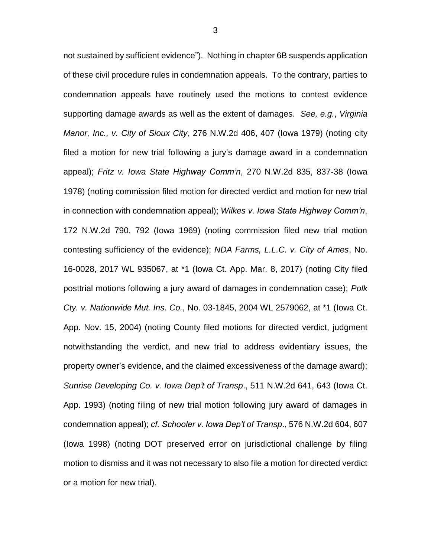not sustained by sufficient evidence"). Nothing in chapter 6B suspends application of these civil procedure rules in condemnation appeals. To the contrary, parties to condemnation appeals have routinely used the motions to contest evidence supporting damage awards as well as the extent of damages. *See, e.g.*, *Virginia Manor, Inc., v. City of Sioux City*, 276 N.W.2d 406, 407 (Iowa 1979) (noting city filed a motion for new trial following a jury's damage award in a condemnation appeal); *Fritz v. Iowa State Highway Comm'n*, 270 N.W.2d 835, 837-38 (Iowa 1978) (noting commission filed motion for directed verdict and motion for new trial in connection with condemnation appeal); *Wilkes v. Iowa State Highway Comm'n*, 172 N.W.2d 790, 792 (Iowa 1969) (noting commission filed new trial motion contesting sufficiency of the evidence); *NDA Farms, L.L.C. v. City of Ames*, No. 16-0028, 2017 WL 935067, at \*1 (Iowa Ct. App. Mar. 8, 2017) (noting City filed posttrial motions following a jury award of damages in condemnation case); *Polk Cty. v. Nationwide Mut. Ins. Co.*, No. 03-1845, 2004 WL 2579062, at \*1 (Iowa Ct. App. Nov. 15, 2004) (noting County filed motions for directed verdict, judgment notwithstanding the verdict, and new trial to address evidentiary issues, the property owner's evidence, and the claimed excessiveness of the damage award); *Sunrise Developing Co. v. Iowa Dep't of Transp*., 511 N.W.2d 641, 643 (Iowa Ct. App. 1993) (noting filing of new trial motion following jury award of damages in condemnation appeal); *cf. Schooler v. Iowa Dep't of Transp*., 576 N.W.2d 604, 607 (Iowa 1998) (noting DOT preserved error on jurisdictional challenge by filing motion to dismiss and it was not necessary to also file a motion for directed verdict or a motion for new trial).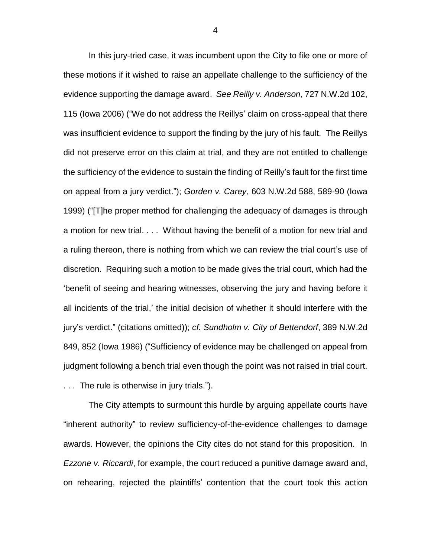In this jury-tried case, it was incumbent upon the City to file one or more of these motions if it wished to raise an appellate challenge to the sufficiency of the evidence supporting the damage award. *See Reilly v. Anderson*, 727 N.W.2d 102, 115 (Iowa 2006) ("We do not address the Reillys' claim on cross-appeal that there was insufficient evidence to support the finding by the jury of his fault. The Reillys did not preserve error on this claim at trial, and they are not entitled to challenge the sufficiency of the evidence to sustain the finding of Reilly's fault for the first time on appeal from a jury verdict."); *Gorden v. Carey*, 603 N.W.2d 588, 589-90 (Iowa 1999) ("[T]he proper method for challenging the adequacy of damages is through a motion for new trial. . . . Without having the benefit of a motion for new trial and a ruling thereon, there is nothing from which we can review the trial court's use of discretion. Requiring such a motion to be made gives the trial court, which had the 'benefit of seeing and hearing witnesses, observing the jury and having before it all incidents of the trial,' the initial decision of whether it should interfere with the jury's verdict." (citations omitted)); *cf. Sundholm v. City of Bettendorf*, 389 N.W.2d 849, 852 (Iowa 1986) ("Sufficiency of evidence may be challenged on appeal from judgment following a bench trial even though the point was not raised in trial court. . . . The rule is otherwise in jury trials.").

The City attempts to surmount this hurdle by arguing appellate courts have "inherent authority" to review sufficiency-of-the-evidence challenges to damage awards. However, the opinions the City cites do not stand for this proposition. In *Ezzone v. Riccardi*, for example, the court reduced a punitive damage award and, on rehearing, rejected the plaintiffs' contention that the court took this action

4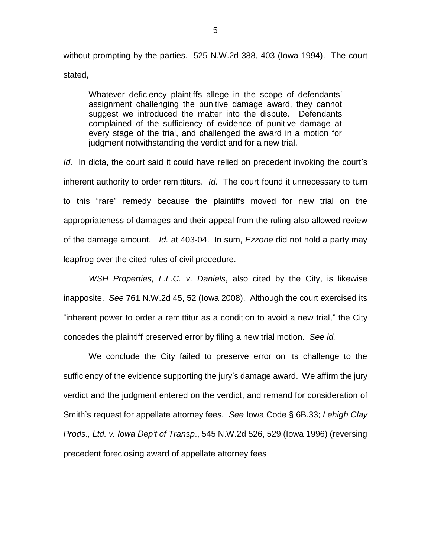without prompting by the parties. 525 N.W.2d 388, 403 (Iowa 1994). The court stated,

Whatever deficiency plaintiffs allege in the scope of defendants' assignment challenging the punitive damage award, they cannot suggest we introduced the matter into the dispute. Defendants complained of the sufficiency of evidence of punitive damage at every stage of the trial, and challenged the award in a motion for judgment notwithstanding the verdict and for a new trial.

*Id.* In dicta, the court said it could have relied on precedent invoking the court's inherent authority to order remittiturs. *Id.* The court found it unnecessary to turn to this "rare" remedy because the plaintiffs moved for new trial on the appropriateness of damages and their appeal from the ruling also allowed review of the damage amount. *Id.* at 403-04. In sum, *Ezzone* did not hold a party may leapfrog over the cited rules of civil procedure.

*WSH Properties, L.L.C. v. Daniels*, also cited by the City, is likewise inapposite. *See* 761 N.W.2d 45, 52 (Iowa 2008). Although the court exercised its "inherent power to order a remittitur as a condition to avoid a new trial," the City concedes the plaintiff preserved error by filing a new trial motion. *See id.*

We conclude the City failed to preserve error on its challenge to the sufficiency of the evidence supporting the jury's damage award. We affirm the jury verdict and the judgment entered on the verdict, and remand for consideration of Smith's request for appellate attorney fees. *See* Iowa Code § 6B.33; *Lehigh Clay Prods., Ltd. v. Iowa Dep't of Transp*., 545 N.W.2d 526, 529 (Iowa 1996) (reversing precedent foreclosing award of appellate attorney fees